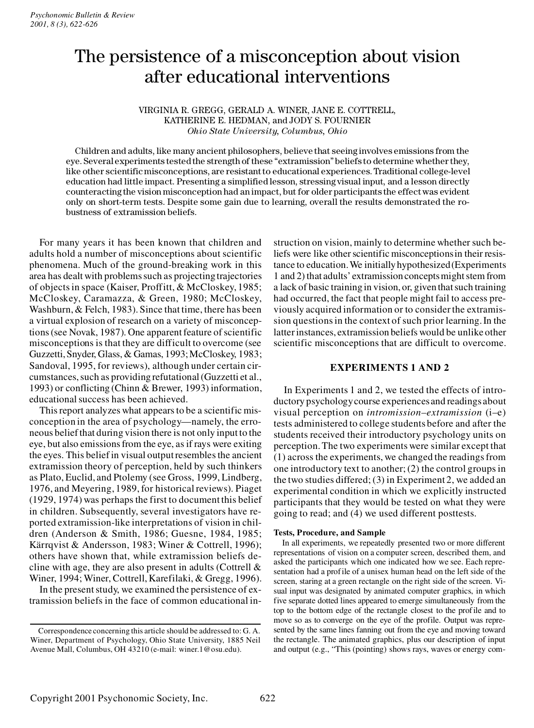# The persistence of a misconception about vision after educational interventions

# VIRGINIA R. GREGG, GERALD A. WINER, JANE E. COTTRELL, KATHERINE E. HEDMAN, and JODY S. FOURNIER *Ohio State University, Columbus, Ohio*

Children and adults, like many ancient philosophers, believe that seeing involves emissions from the eye. Several experiments tested the strength of these "extramission" beliefs to determine whether they, like other scientificmisconceptions, are resistant to educational experiences. Traditional college-level education had little impact. Presenting a simplified lesson, stressing visual input, and a lesson directly counteracting the vision misconception had an impact, but for older participants the effectwas evident only on short-term tests. Despite some gain due to learning, overall the results demonstrated the robustness of extramission beliefs.

For many years it has been known that children and adults hold a number of misconceptions about scientific phenomena. Much of the ground-breaking work in this area has dealt with problems such as projecting trajectories of objects in space (Kaiser, Proffitt, & McCloskey, 1985; McCloskey, Caramazza, & Green, 1980; McCloskey, Washburn, & Felch, 1983). Since that time, there has been a virtual explosion of research on a variety of misconceptions (see Novak, 1987). One apparent feature of scientific misconceptions is that they are difficult to overcome (see Guzzetti, Snyder, Glass, & Gamas, 1993; McCloskey, 1983; Sandoval, 1995, for reviews), although under certain circumstances, such as providing refutational (Guzzetti et al., 1993) or conflicting (Chinn & Brewer, 1993) information, educational success has been achieved.

This report analyzes what appears to be a scientific misconception in the area of psychology—namely, the erroneous belief that during vision there is not only input to the eye, but also emissions from the eye, as if rays were exiting the eyes. This belief in visual output resembles the ancient extramission theory of perception, held by such thinkers as Plato, Euclid, and Ptolemy (see Gross, 1999, Lindberg, 1976, and Meyering, 1989, for historical reviews). Piaget (1929, 1974) was perhaps the first to document this belief in children. Subsequently, several investigators have reported extramission-like interpretations of vision in children (Anderson & Smith, 1986; Guesne, 1984, 1985; Kärrqvist & Andersson, 1983; Winer & Cottrell, 1996); others have shown that, while extramission beliefs decline with age, they are also present in adults (Cottrell  $\&$ Winer, 1994; Winer, Cottrell, Karefilaki, & Gregg, 1996).

In the present study, we examined the persistence of extramission beliefs in the face of common educational in-

struction on vision, mainly to determine whether such beliefs were like other scientific misconceptionsin their resistance to education.We initially hypothesized (Experiments 1 and 2) that adults' extramission conceptsmight stem from a lack of basic trainingin vision, or, given that such training had occurred, the fact that people might fail to access previously acquired information or to consider the extramission questions in the context of such prior learning. In the latter instances, extramission beliefs would be unlike other scientific misconceptions that are difficult to overcome.

# **EXPERIMENTS 1 AND 2**

In Experiments 1 and 2, we tested the effects of introductory psychologycourse experiencesand readings about visual perception on *intromission–extramission* (i–e) tests administered to college students before and after the students received their introductory psychology units on perception. The two experiments were similar except that (1) across the experiments, we changed the readings from one introductory text to another; (2) the control groups in the two studies differed; (3) in Experiment 2, we added an experimental condition in which we explicitly instructed participants that they would be tested on what they were going to read; and (4) we used different posttests.

## **Tests, Procedure, and Sample**

In all experiments, we repeatedly presented two or more different representations of vision on a computer screen, described them, and asked the participants which one indicated how we see. Each representation had a profile of a unisex human head on the left side of the screen, staring at a green rectangle on the right side of the screen. Visual input was designated by animated computer graphics, in which five separate dotted lines appeared to emerge simultaneously from the top to the bottom edge of the rectangle closest to the profile and to move so as to converge on the eye of the profile. Output was represented by the same lines fanning out from the eye and moving toward the rectangle. The animated graphics, plus our description of input and output (e.g., "This (pointing) shows rays, waves or energy com-

Correspondence concerning this article should be addressed to: G. A. Winer, Department of Psychology, Ohio State University, 1885 Neil Avenue Mall, Columbus, OH 43210 (e-mail: winer.1@osu.edu).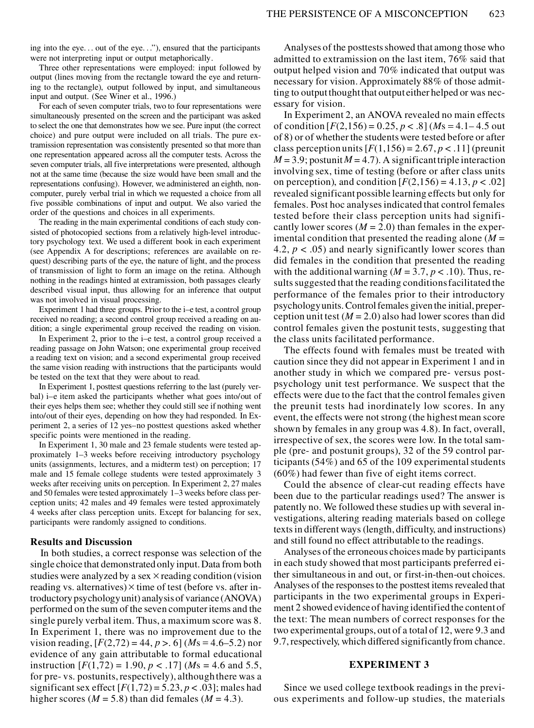ing into the eye. . . out of the eye. . ."), ensured that the participants were not interpreting input or output metaphorically.

Three other representations were employed: input followed by output (lines moving from the rectangle toward the eye and returning to the rectangle), output followed by input, and simultaneous input and output. (See Winer et al., 1996.)

For each of seven computer trials, two to four representations were simultaneously presented on the screen and the participant was asked to select the one that demonstrates how we see. Pure input (the correct choice) and pure output were included on all trials. The pure extramission representation was consistently presented so that more than one representation appeared across all the computer tests. Across the seven computer trials, all five interpretations were presented, although not at the same time (because the size would have been small and the representations confusing). However, we administered an eighth, noncomputer, purely verbal trial in which we requested a choice from all five possible combinations of input and output. We also varied the order of the questions and choices in all experiments.

The reading in the main experimental conditions of each study consisted of photocopied sections from a relatively high-level introductory psychology text. We used a different book in each experiment (see Appendix A for descriptions; references are available on request) describing parts of the eye, the nature of light, and the process of transmission of light to form an image on the retina. Although nothing in the readings hinted at extramission, both passages clearly described visual input, thus allowing for an inference that output was not involved in visual processing.

Experiment 1 had three groups. Prior to the i–e test, a control group received no reading; a second control group received a reading on audition; a single experimental group received the reading on vision.

In Experiment 2, prior to the i–e test, a control group received a reading passage on John Watson; one experimental group received a reading text on vision; and a second experimental group received the same vision reading with instructions that the participants would be tested on the text that they were about to read.

In Experiment 1, posttest questions referring to the last (purely verbal) i–e item asked the participants whether what goes into/out of their eyes helps them see; whether they could still see if nothing went into/out of their eyes, depending on how they had responded. In Experiment 2, a series of 12 yes–no posttest questions asked whether specific points were mentioned in the reading.

In Experiment 1, 30 male and 23 female students were tested approximately 1–3 weeks before receiving introductory psychology units (assignments, lectures, and a midterm test) on perception; 17 male and 15 female college students were tested approximately 3 weeks after receiving units on perception. In Experiment 2, 27 males and 50 females were tested approximately 1–3 weeks before class perception units; 42 males and 49 females were tested approximately 4 weeks after class perception units. Except for balancing for sex, participants were randomly assigned to conditions.

# **Results and Discussion**

In both studies, a correct response was selection of the single choice that demonstrated only input. Data from both studies were analyzed by a sex  $\times$  reading condition (vision reading vs. alternatives)  $\times$  time of test (before vs. after introductory psychologyunit) analysis of variance (ANOVA) performed on the sum of the seven computer items and the single purely verbal item. Thus, a maximum score was 8. In Experiment 1, there was no improvement due to the vision reading,  $[F(2,72) = 44, p > 0]$  (*M*s = 4.6–5.2) nor evidence of any gain attributable to formal educational instruction  $[F(1,72) = 1.90, p < .17]$  (*M*s = 4.6 and 5.5, for pre- vs. postunits, respectively), althoughthere was a significant sex effect  $[F(1,72) = 5.23, p < .03]$ ; males had higher scores ( $M = 5.8$ ) than did females ( $M = 4.3$ ).

Analyses of the posttests showed that among those who admitted to extramission on the last item, 76% said that output helped vision and 70% indicated that output was necessary for vision. Approximately 88% of those admitting to output thought that output either helped or was necessary for vision.

In Experiment 2, an ANOVA revealed no main effects of condition  $[F(2,156) = 0.25, p < .8]$  (*M*s = 4.1–4.5 out of 8) or of whether the students were tested before or after class perception units  $[F(1,156) = 2.67, p < .11]$  (preunit  $M = 3.9$ ; postunit  $M = 4.7$ ). A significant triple interaction involving sex, time of testing (before or after class units on perception), and condition  $[F(2,156) = 4.13, p < .02]$ revealed significant possible learning effects but only for females. Post hoc analyses indicated that control females tested before their class perception units had significantly lower scores  $(M = 2.0)$  than females in the experimental condition that presented the reading alone  $(M =$ 4.2,  $p < .05$ ) and nearly significantly lower scores than did females in the condition that presented the reading with the additional warning  $(M = 3.7, p < .10)$ . Thus, results suggested that the reading conditions facilitated the performance of the females prior to their introductory psychologyunits. Control females given the initial, preperception unit test  $(M = 2.0)$  also had lower scores than did control females given the postunit tests, suggesting that the class units facilitated performance.

The effects found with females must be treated with caution since they did not appear in Experiment 1 and in another study in which we compared pre- versus postpsychology unit test performance. We suspect that the effects were due to the fact that the control females given the preunit tests had inordinately low scores. In any event, the effects were not strong (the highest mean score shown by females in any group was 4.8). In fact, overall, irrespective of sex, the scores were low. In the total sample (pre- and postunit groups), 32 of the 59 control participants (54%) and 65 of the 109 experimental students (60%) had fewer than five of eight items correct.

Could the absence of clear-cut reading effects have been due to the particular readings used? The answer is patently no. We followed these studies up with several investigations, altering reading materials based on college texts in different ways (length, difficulty, and instructions) and still found no effect attributable to the readings.

Analyses of the erroneous choices made by participants in each study showed that most participants preferred either simultaneous in and out, or first-in-then-out choices. Analyses of the responses to the posttest items revealed that participants in the two experimental groups in Experiment 2 showed evidence of havingidentifiedthe content of the text: The mean numbers of correct responses for the two experimental groups, out of a total of 12, were 9.3 and 9.7, respectively, which differed significantly from chance.

# **EXPERIMENT 3**

Since we used college textbook readings in the previous experiments and follow-up studies, the materials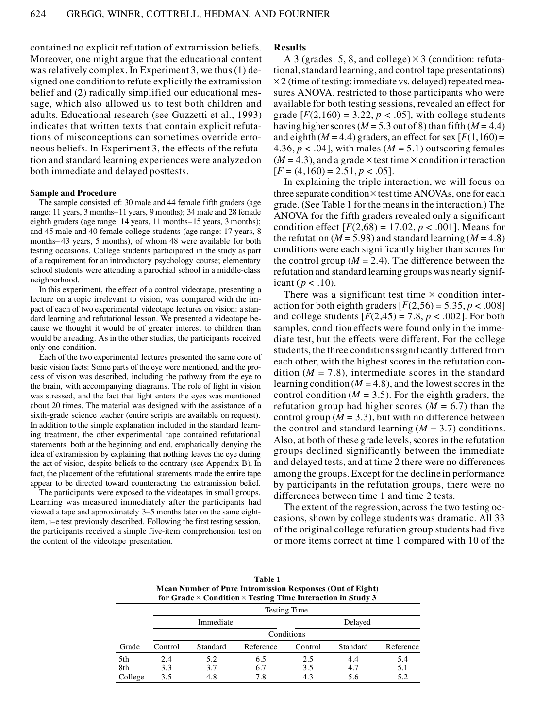contained no explicit refutation of extramission beliefs. Moreover, one might argue that the educational content was relatively complex. In Experiment 3, we thus (1) designed one condition to refute explicitly the extramission belief and (2) radically simplified our educational message, which also allowed us to test both children and adults. Educational research (see Guzzetti et al., 1993) indicates that written texts that contain explicit refutations of misconceptions can sometimes override erroneous beliefs. In Experiment 3, the effects of the refutation and standard learning experiences were analyzed on both immediate and delayed posttests.

#### **Sample and Procedure**

The sample consisted of: 30 male and 44 female fifth graders (age range: 11 years, 3 months–11 years, 9 months); 34 male and 28 female eighth graders (age range: 14 years, 11 months–15 years, 3 months); and 45 male and 40 female college students (age range: 17 years, 8 months– 43 years, 5 months), of whom 48 were available for both testing occasions. College students participated in the study as part of a requirement for an introductory psychology course; elementary school students were attending a parochial school in a middle-class neighborhood.

In this experiment, the effect of a control videotape, presenting a lecture on a topic irrelevant to vision, was compared with the impact of each of two experimental videotape lectures on vision: a standard learning and refutational lesson. We presented a videotape because we thought it would be of greater interest to children than would be a reading. As in the other studies, the participants received only one condition.

Each of the two experimental lectures presented the same core of basic vision facts: Some parts of the eye were mentioned, and the process of vision was described, including the pathway from the eye to the brain, with accompanying diagrams. The role of light in vision was stressed, and the fact that light enters the eyes was mentioned about 20 times. The material was designed with the assistance of a sixth-grade science teacher (entire scripts are available on request). In addition to the simple explanation included in the standard learning treatment, the other experimental tape contained refutational statements, both at the beginning and end, emphatically denying the idea of extramission by explaining that nothing leaves the eye during the act of vision, despite beliefs to the contrary (see Appendix B). In fact, the placement of the refutational statements made the entire tape appear to be directed toward counteracting the extramission belief.

The participants were exposed to the videotapes in small groups. Learning was measured immediately after the participants had viewed a tape and approximately 3–5 months later on the same eightitem, i–e test previously described. Following the first testing session, the participants received a simple five-item comprehension test on the content of the videotape presentation.

#### **Results**

A 3 (grades: 5, 8, and college)  $\times$  3 (condition: refutational, standard learning, and control tape presentations)  $\times$  2 (time of testing: immediate vs. delayed) repeated measures ANOVA, restricted to those participants who were available for both testing sessions, revealed an effect for grade  $[F(2,160) = 3.22, p < .05]$ , with college students having higher scores ( $M = 5.3$  out of 8) than fifth ( $M = 4.4$ ) and eighth  $(M = 4.4)$  graders, an effect for sex  $[F(1,160) =$ 4.36,  $p < .04$ , with males ( $M = 5.1$ ) outscoring females  $(M = 4.3)$ , and a grade  $\times$  test time  $\times$  condition interaction  $[F = (4,160) = 2.51, p < .05].$ 

In explaining the triple interaction, we will focus on three separate condition $\times$  test time ANOVAs, one for each grade. (See Table 1 for the means in the interaction.) The ANOVA for the fifth graders revealed only a significant condition effect  $[F(2,68) = 17.02, p < .001]$ . Means for the refutation ( $M = 5.98$ ) and standard learning ( $M = 4.8$ ) conditions were each significantly higher than scores for the control group ( $M = 2.4$ ). The difference between the refutation and standard learning groups was nearly significant ( $p < .10$ ).

There was a significant test time  $\times$  condition interaction for both eighth graders  $[F(2,56) = 5.35, p < .008]$ and college students  $[F(2,45) = 7.8, p < .002]$ . For both samples, condition effects were found only in the immediate test, but the effects were different. For the college students, the three conditions significantly differed from each other, with the highest scores in the refutation condition  $(M = 7.8)$ , intermediate scores in the standard learning condition  $(M = 4.8)$ , and the lowest scores in the control condition  $(M = 3.5)$ . For the eighth graders, the refutation group had higher scores  $(M = 6.7)$  than the control group ( $M = 3.3$ ), but with no difference between the control and standard learning  $(M = 3.7)$  conditions. Also, at both of these grade levels, scores in the refutation groups declined significantly between the immediate and delayed tests, and at time 2 there were no differences among the groups. Except for the decline in performance by participants in the refutation groups, there were no differences between time 1 and time 2 tests.

The extent of the regression, across the two testing occasions, shown by college students was dramatic. All 33 of the original college refutation group students had five or more items correct at time 1 compared with 10 of the

| Table 1                                                                   |
|---------------------------------------------------------------------------|
| Mean Number of Pure Intromission Responses (Out of Eight)                 |
| for Grade $\times$ Condition $\times$ Testing Time Interaction in Study 3 |

|         |            | Testing Time |           |         |          |           |  |
|---------|------------|--------------|-----------|---------|----------|-----------|--|
|         | Immediate  |              |           | Delayed |          |           |  |
|         | Conditions |              |           |         |          |           |  |
| Grade   | Control    | Standard     | Reference | Control | Standard | Reference |  |
| 5th     | 2.4        | 5.2          | 6.5       | 2.5     | 4.4      | 5.4       |  |
| 8th     | 3.3        | 3.7          | 6.7       | 3.5     | 4.7      | 5.1       |  |
| College | 3.5        | 4.8          | 7.8       | 4.3     | 5.6      | 5.2       |  |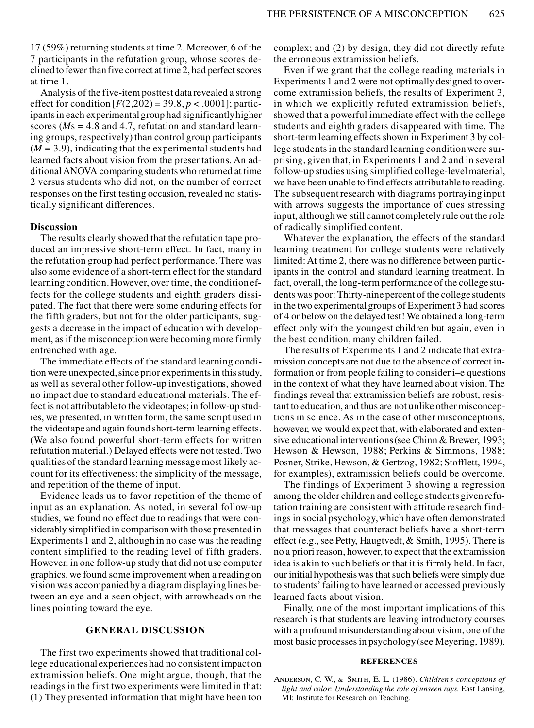17 (59%) returning students at time 2. Moreover, 6 of the 7 participants in the refutation group, whose scores declined to fewer than five correct at time 2, had perfect scores at time 1.

Analysis of the five-item posttest data revealed a strong effect for condition  $[F(2,202) = 39.8, p < .0001]$ ; participants in each experimental group had significantly higher scores (*M*s = 4.8 and 4.7, refutation and standard learning groups, respectively) than control group participants  $(M = 3.9)$ , indicating that the experimental students had learned facts about vision from the presentations. An additionalANOVA comparing students who returned at time 2 versus students who did not, on the number of correct responses on the first testing occasion, revealed no statistically significant differences.

# **Discussion**

The results clearly showed that the refutation tape produced an impressive short-term effect. In fact, many in the refutation group had perfect performance. There was also some evidence of a short-term effect for the standard learning condition. However, over time, the condition effects for the college students and eighth graders dissipated. The fact that there were some enduring effects for the fifth graders, but not for the older participants, suggests a decrease in the impact of education with development, as if the misconception were becoming more firmly entrenched with age.

The immediate effects of the standard learning condition were unexpected, since prior experimentsin this study, as well as several other follow-up investigations, showed no impact due to standard educational materials. The effect is not attributable to the videotapes; in follow-up studies, we presented, in written form, the same script used in the videotape and again found short-term learning effects. (We also found powerful short-term effects for written refutation material.) Delayed effects were not tested. Two qualities of the standard learning message most likely account for its effectiveness: the simplicity of the message, and repetition of the theme of input.

Evidence leads us to favor repetition of the theme of input as an explanation. As noted, in several follow-up studies, we found no effect due to readings that were considerably simplified in comparison with those presentedin Experiments 1 and 2, althoughin no case was the reading content simplified to the reading level of fifth graders. However, in one follow-up study that did not use computer graphics, we found some improvement when a reading on vision was accompanied by a diagram displayinglines between an eye and a seen object, with arrowheads on the lines pointing toward the eye.

# **GENERAL DISCUSSION**

The first two experiments showed that traditional college educational experiences had no consistent impact on extramission beliefs. One might argue, though, that the readings in the first two experiments were limited in that: (1) They presented information that might have been too complex; and (2) by design, they did not directly refute the erroneous extramission beliefs.

Even if we grant that the college reading materials in Experiments 1 and 2 were not optimally designed to overcome extramission beliefs, the results of Experiment 3, in which we explicitly refuted extramission beliefs, showed that a powerful immediate effect with the college students and eighth graders disappeared with time. The short-term learning effects shown in Experiment 3 by college students in the standard learning condition were surprising, given that, in Experiments 1 and 2 and in several follow-up studies using simplified college-level material, we have been unable to find effects attributableto reading. The subsequent research with diagrams portraying input with arrows suggests the importance of cues stressing input, although we still cannot completely rule out the role of radically simplified content.

Whatever the explanation, the effects of the standard learning treatment for college students were relatively limited: At time 2, there was no difference between participants in the control and standard learning treatment. In fact, overall, the long-term performance of the college students was poor: Thirty-nine percent of the college students in the two experimental groups of Experiment 3 had scores of 4 or below on the delayed test! We obtained a long-term effect only with the youngest children but again, even in the best condition, many children failed.

The results of Experiments 1 and 2 indicate that extramission concepts are not due to the absence of correct information or from people failing to consider i–e questions in the context of what they have learned about vision. The findings reveal that extramission beliefs are robust, resistant to education, and thus are not unlike other misconceptions in science. As in the case of other misconceptions, however, we would expect that, with elaborated and extensive educational interventions (see Chinn & Brewer, 1993; Hewson & Hewson, 1988; Perkins & Simmons, 1988; Posner, Strike, Hewson, & Gertzog, 1982; Stofflett, 1994, for examples), extramission beliefs could be overcome.

The findings of Experiment 3 showing a regression among the older children and college students given refutation training are consistent with attitude research findings in social psychology,which have often demonstrated that messages that counteract beliefs have a short-term effect (e.g., see Petty, Haugtvedt,  $&$  Smith, 1995). There is no a priori reason, however, to expect that the extramission idea is akin to such beliefs or that it is firmly held. In fact, our initial hypothesiswas that such beliefs were simply due to students' failing to have learned or accessed previously learned facts about vision.

Finally, one of the most important implications of this research is that students are leaving introductory courses with a profound misunderstandingabout vision, one of the most basic processes in psychology (see Meyering, 1989).

#### **REFERENCES**

Anderson, C. W., & Smith, E. L. (1986). *Children's conceptions of light and color: Understanding the role of unseen rays.* East Lansing, MI: Institute for Research on Teaching.